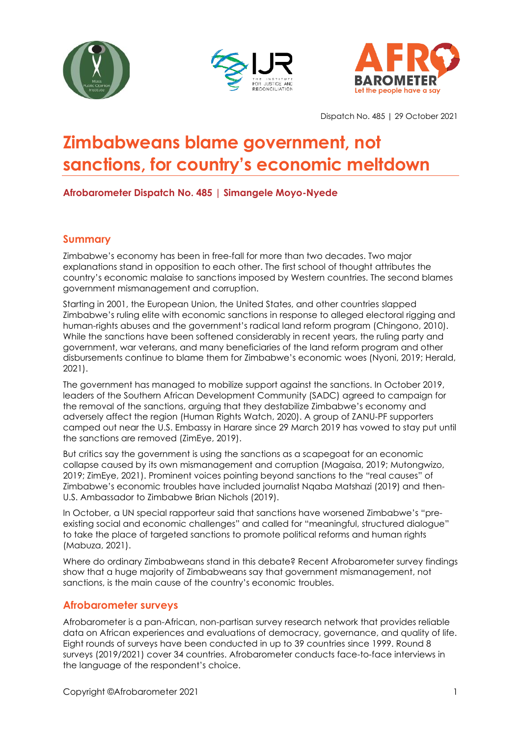





Dispatch No. 485 | 29 October 2021

# **Zimbabweans blame government, not sanctions, for country's economic meltdown**

**Afrobarometer Dispatch No. 485 | Simangele Moyo-Nyede**

# **Summary**

Zimbabwe's economy has been in free-fall for more than two decades. Two major explanations stand in opposition to each other. The first school of thought attributes the country's economic malaise to sanctions imposed by Western countries. The second blames government mismanagement and corruption.

Starting in 2001, the European Union, the United States, and other countries slapped Zimbabwe's ruling elite with economic sanctions in response to alleged electoral rigging and human-rights abuses and the government's radical land reform program (Chingono, 2010). While the sanctions have been softened considerably in recent years, the ruling party and government, war veterans, and many beneficiaries of the land reform program and other disbursements continue to blame them for Zimbabwe's economic woes (Nyoni, 2019; Herald, 2021).

The government has managed to mobilize support against the sanctions. In October 2019, leaders of the Southern African Development Community (SADC) agreed to campaign for the removal of the sanctions, arguing that they destabilize Zimbabwe's economy and adversely affect the region (Human Rights Watch, 2020). A group of ZANU-PF supporters camped out near the U.S. Embassy in Harare since 29 March 2019 has vowed to stay put until the sanctions are removed (ZimEye, 2019).

But critics say the government is using the sanctions as a scapegoat for an economic collapse caused by its own mismanagement and corruption (Magaisa, 2019; Mutongwizo, 2019; ZimEye, 2021). Prominent voices pointing beyond sanctions to the "real causes" of Zimbabwe's economic troubles have included journalist Nqaba Matshazi (2019) and then-U.S. Ambassador to Zimbabwe Brian Nichols (2019).

In October, a UN special rapporteur said that sanctions have worsened Zimbabwe's "preexisting social and economic challenges" and called for "meaningful, structured dialogue" to take the place of targeted sanctions to promote political reforms and human rights (Mabuza, 2021).

Where do ordinary Zimbabweans stand in this debate? Recent Afrobarometer survey findings show that a huge majority of Zimbabweans say that government mismanagement, not sanctions, is the main cause of the country's economic troubles.

# **Afrobarometer surveys**

Afrobarometer is a pan-African, non-partisan survey research network that provides reliable data on African experiences and evaluations of democracy, governance, and quality of life. Eight rounds of surveys have been conducted in up to 39 countries since 1999. Round 8 surveys (2019/2021) cover 34 countries. Afrobarometer conducts face-to-face interviews in the language of the respondent's choice.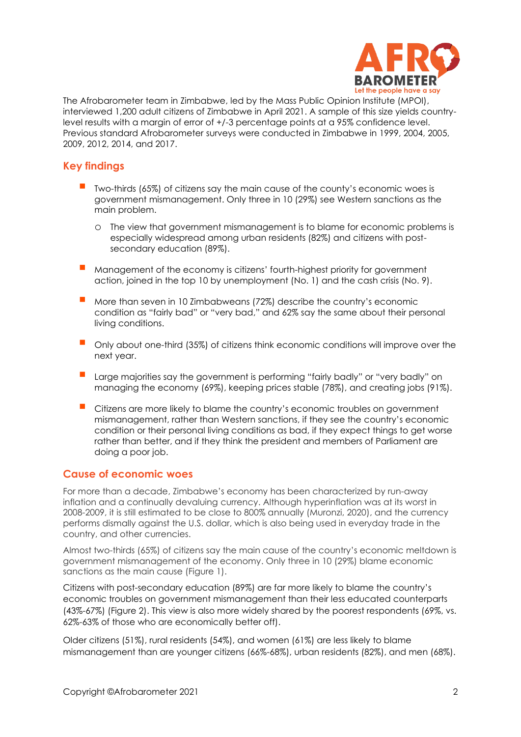

The Afrobarometer team in Zimbabwe, led by the Mass Public Opinion Institute (MPOI), interviewed 1,200 adult citizens of Zimbabwe in April 2021. A sample of this size yields countrylevel results with a margin of error of +/-3 percentage points at a 95% confidence level. Previous standard Afrobarometer surveys were conducted in Zimbabwe in 1999, 2004, 2005, 2009, 2012, 2014, and 2017.

# **Key findings**

- Two-thirds (65%) of citizens say the main cause of the county's economic woes is government mismanagement. Only three in 10 (29%) see Western sanctions as the main problem.
	- o The view that government mismanagement is to blame for economic problems is especially widespread among urban residents (82%) and citizens with postsecondary education (89%).
- Management of the economy is citizens' fourth-highest priority for government action, joined in the top 10 by unemployment (No. 1) and the cash crisis (No. 9).
- More than seven in 10 Zimbabweans (72%) describe the country's economic condition as "fairly bad" or "very bad," and 62% say the same about their personal living conditions.
- Only about one-third (35%) of citizens think economic conditions will improve over the next year.
- Large majorities say the government is performing "fairly badly" or "very badly" on managing the economy (69%), keeping prices stable (78%), and creating jobs (91%).
- Citizens are more likely to blame the country's economic troubles on government mismanagement, rather than Western sanctions, if they see the country's economic condition or their personal living conditions as bad, if they expect things to get worse rather than better, and if they think the president and members of Parliament are doing a poor job.

## **Cause of economic woes**

For more than a decade, Zimbabwe's economy has been characterized by run-away inflation and a continually devaluing currency. Although hyperinflation was at its worst in 2008-2009, it is still estimated to be close to 800% annually (Muronzi, 2020), and the currency performs dismally against the U.S. dollar, which is also being used in everyday trade in the country, and other currencies.

Almost two-thirds (65%) of citizens say the main cause of the country's economic meltdown is government mismanagement of the economy. Only three in 10 (29%) blame economic sanctions as the main cause (Figure 1).

Citizens with post-secondary education (89%) are far more likely to blame the country's economic troubles on government mismanagement than their less educated counterparts (43%-67%) (Figure 2). This view is also more widely shared by the poorest respondents (69%, vs. 62%-63% of those who are economically better off).

Older citizens (51%), rural residents (54%), and women (61%) are less likely to blame mismanagement than are younger citizens (66%-68%), urban residents (82%), and men (68%).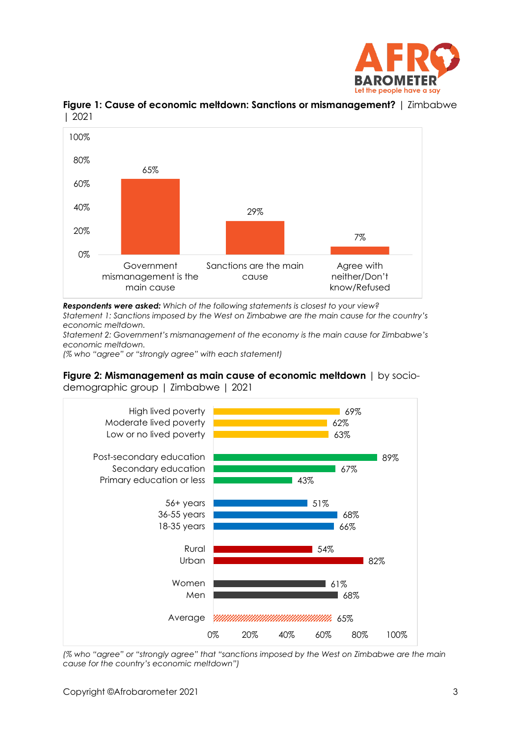



**Figure 1: Cause of economic meltdown: Sanctions or mismanagement?** | Zimbabwe | 2021

*Respondents were asked: Which of the following statements is closest to your view?*

*Statement 1: Sanctions imposed by the West on Zimbabwe are the main cause for the country's economic meltdown.*

*Statement 2: Government's mismanagement of the economy is the main cause for Zimbabwe's economic meltdown.*

*(% who "agree" or "strongly agree" with each statement)*

**Figure 2: Mismanagement as main cause of economic meltdown** | by sociodemographic group | Zimbabwe | 2021



*(% who "agree" or "strongly agree" that "sanctions imposed by the West on Zimbabwe are the main cause for the country's economic meltdown")*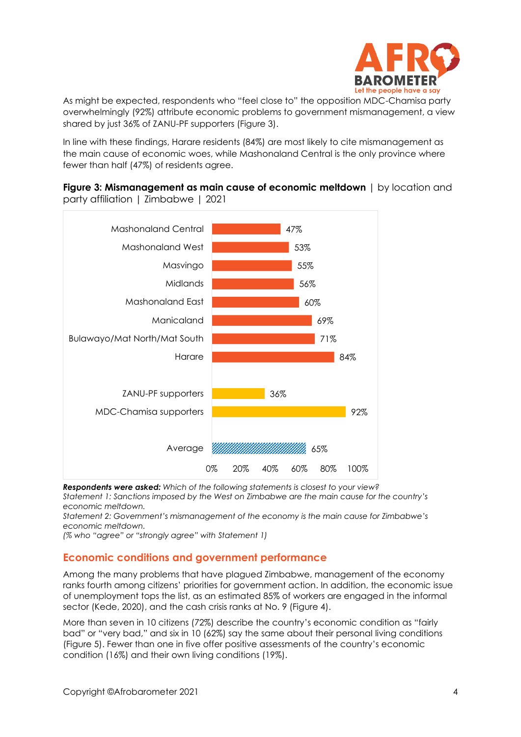

As might be expected, respondents who "feel close to" the opposition MDC-Chamisa party overwhelmingly (92%) attribute economic problems to government mismanagement, a view shared by just 36% of ZANU-PF supporters (Figure 3).

In line with these findings, Harare residents (84%) are most likely to cite mismanagement as the main cause of economic woes, while Mashonaland Central is the only province where fewer than half (47%) of residents agree.





*Respondents were asked: Which of the following statements is closest to your view? Statement 1: Sanctions imposed by the West on Zimbabwe are the main cause for the country's economic meltdown.*

*Statement 2: Government's mismanagement of the economy is the main cause for Zimbabwe's economic meltdown.*

*(% who "agree" or "strongly agree" with Statement 1)*

## **Economic conditions and government performance**

Among the many problems that have plagued Zimbabwe, management of the economy ranks fourth among citizens' priorities for government action. In addition, the economic issue of unemployment tops the list, as an estimated 85% of workers are engaged in the informal sector (Kede, 2020), and the cash crisis ranks at No. 9 (Figure 4).

More than seven in 10 citizens (72%) describe the country's economic condition as "fairly bad" or "very bad," and six in 10 (62%) say the same about their personal living conditions (Figure 5). Fewer than one in five offer positive assessments of the country's economic condition (16%) and their own living conditions (19%).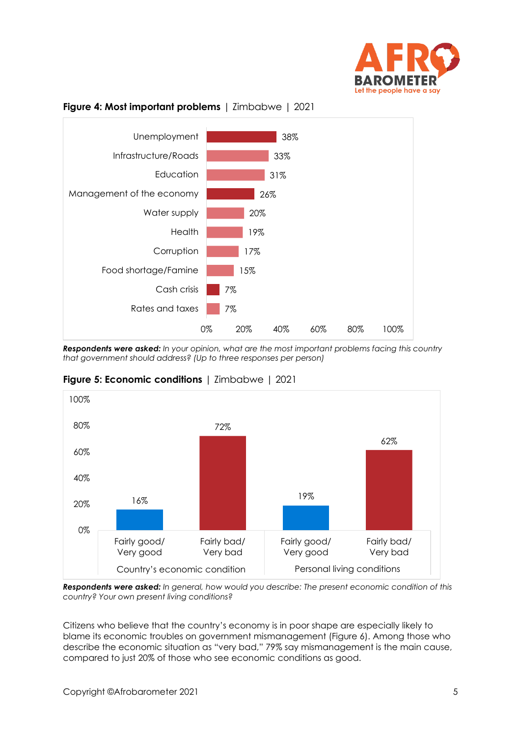



#### **Figure 4: Most important problems** | Zimbabwe | 2021

*Respondents were asked: In your opinion, what are the most important problems facing this country that government should address? (Up to three responses per person)*

![](_page_4_Figure_4.jpeg)

**Figure 5: Economic conditions** | Zimbabwe | 2021

*Respondents were asked: In general, how would you describe: The present economic condition of this country? Your own present living conditions?*

Citizens who believe that the country's economy is in poor shape are especially likely to blame its economic troubles on government mismanagement (Figure 6). Among those who describe the economic situation as "very bad," 79% say mismanagement is the main cause, compared to just 20% of those who see economic conditions as good.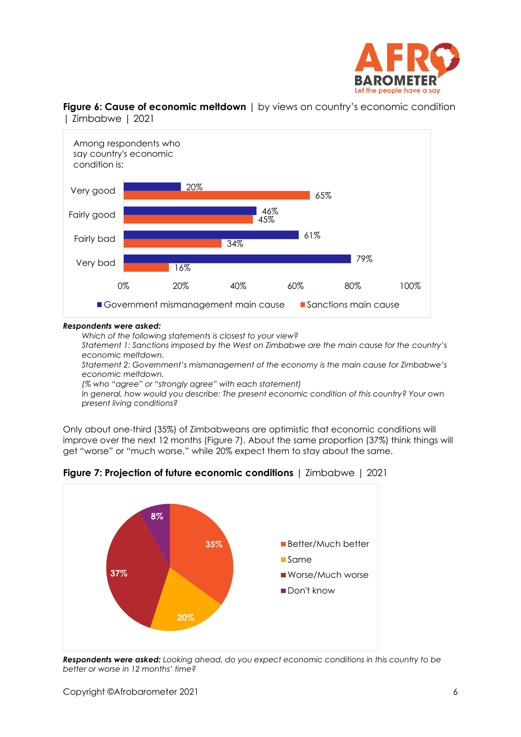![](_page_5_Picture_0.jpeg)

![](_page_5_Figure_1.jpeg)

**Figure 6: Cause of economic meltdown**  $\vert$  by views on country's economic condition | Zimbabwe | 2021

#### *Respondents were asked:*

*Which of the following statements is closest to your view?*

*Statement 1: Sanctions imposed by the West on Zimbabwe are the main cause for the country's economic meltdown.*

*Statement 2: Government's mismanagement of the economy is the main cause for Zimbabwe's economic meltdown.*

*(% who "agree" or "strongly agree" with each statement)*

*In general, how would you describe: The present economic condition of this country? Your own present living conditions?*

Only about one-third (35%) of Zimbabweans are optimistic that economic conditions will improve over the next 12 months (Figure 7). About the same proportion (37%) think things will get "worse" or "much worse," while 20% expect them to stay about the same.

![](_page_5_Figure_10.jpeg)

**Figure 7: Projection of future economic conditions** | Zimbabwe | 2021

*Respondents were asked: Looking ahead, do you expect economic conditions in this country to be better or worse in 12 months' time?*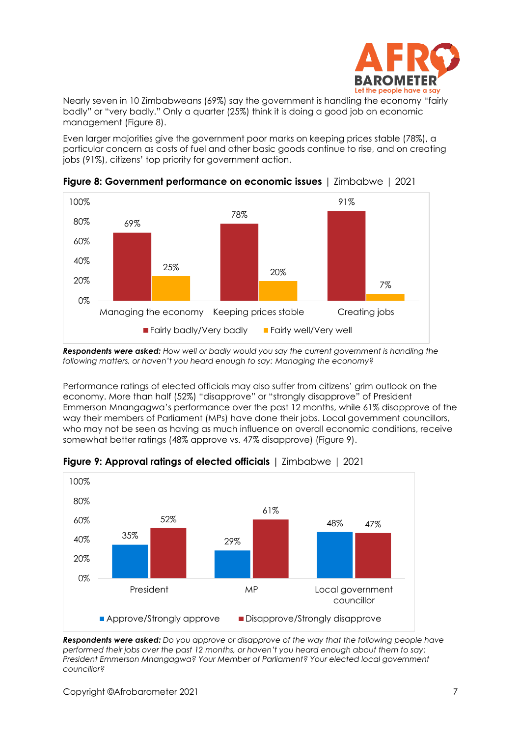![](_page_6_Picture_0.jpeg)

Nearly seven in 10 Zimbabweans (69%) say the government is handling the economy "fairly badly" or "very badly." Only a quarter (25%) think it is doing a good job on economic management (Figure 8).

Even larger majorities give the government poor marks on keeping prices stable (78%), a particular concern as costs of fuel and other basic goods continue to rise, and on creating jobs (91%), citizens' top priority for government action.

![](_page_6_Figure_3.jpeg)

**Figure 8: Government performance on economic issues** | Zimbabwe | 2021

*Respondents were asked: How well or badly would you say the current government is handling the following matters, or haven't you heard enough to say: Managing the economy?*

Performance ratings of elected officials may also suffer from citizens' grim outlook on the economy. More than half (52%) "disapprove" or "strongly disapprove" of President Emmerson Mnangagwa's performance over the past 12 months, while 61% disapprove of the way their members of Parliament (MPs) have done their jobs. Local government councillors, who may not be seen as having as much influence on overall economic conditions, receive somewhat better ratings (48% approve vs. 47% disapprove) (Figure 9).

![](_page_6_Figure_7.jpeg)

**Figure 9: Approval ratings of elected officials** | Zimbabwe | 2021

*Respondents were asked: Do you approve or disapprove of the way that the following people have performed their jobs over the past 12 months, or haven't you heard enough about them to say: President Emmerson Mnangagwa? Your Member of Parliament? Your elected local government councillor?*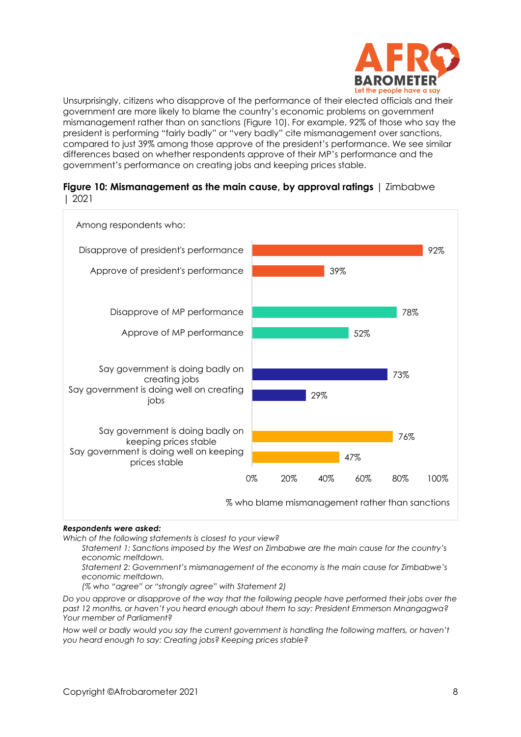![](_page_7_Picture_0.jpeg)

Unsurprisingly, citizens who disapprove of the performance of their elected officials and their government are more likely to blame the country's economic problems on government mismanagement rather than on sanctions (Figure 10). For example, 92% of those who say the president is performing "fairly badly" or "very badly" cite mismanagement over sanctions, compared to just 39% among those approve of the president's performance. We see similar differences based on whether respondents approve of their MP's performance and the government's performance on creating jobs and keeping prices stable.

![](_page_7_Figure_2.jpeg)

![](_page_7_Figure_3.jpeg)

#### *Respondents were asked:*

*Which of the following statements is closest to your view?*

*Statement 1: Sanctions imposed by the West on Zimbabwe are the main cause for the country's economic meltdown.*

*Statement 2: Government's mismanagement of the economy is the main cause for Zimbabwe's economic meltdown.*

*(% who "agree" or "strongly agree" with Statement 2)*

*Do you approve or disapprove of the way that the following people have performed their jobs over the past 12 months, or haven't you heard enough about them to say: President Emmerson Mnangagwa? Your member of Parliament?*

How well or badly would you say the current government is handling the following matters, or haven't *you heard enough to say: Creating jobs? Keeping prices stable?*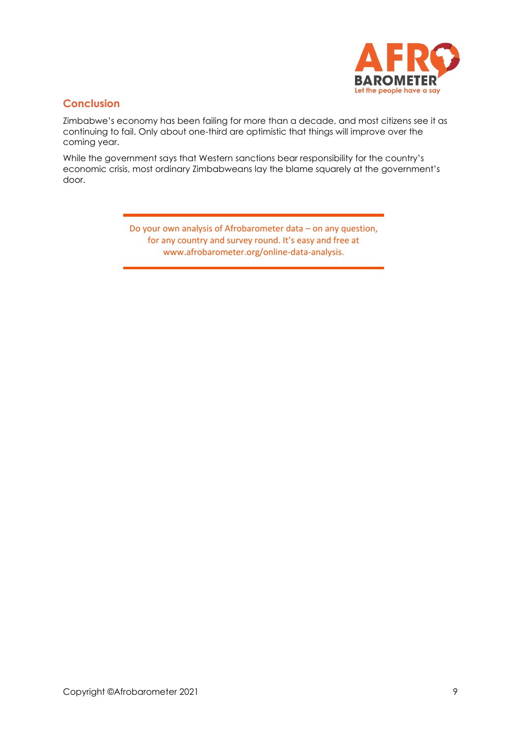![](_page_8_Picture_0.jpeg)

## **Conclusion**

Zimbabwe's economy has been failing for more than a decade, and most citizens see it as continuing to fail. Only about one-third are optimistic that things will improve over the coming year.

While the government says that Western sanctions bear responsibility for the country's economic crisis, most ordinary Zimbabweans lay the blame squarely at the government's door.

> Do your own analysis of Afrobarometer data – on any question, for any country and survey round. It's easy and free at www.afrobarometer.org/online-data-analysis.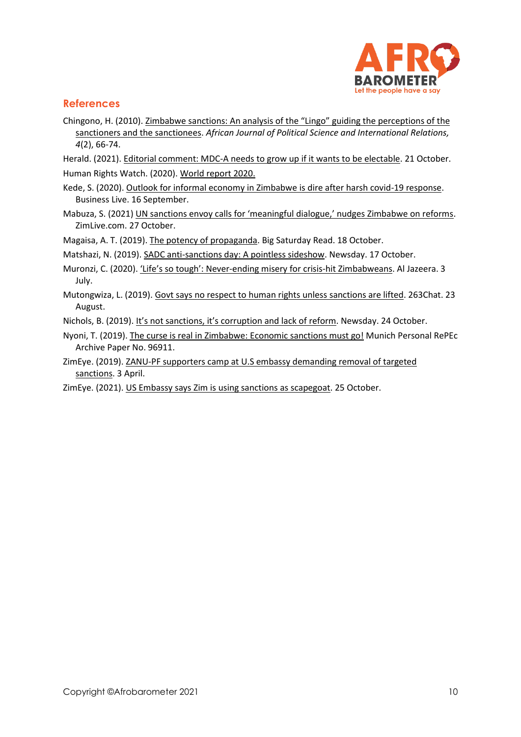![](_page_9_Picture_0.jpeg)

# **References**

- Chingono, H. (2010). [Zimbabwe sanctions: An analysis of the "Lingo" guiding the perceptions of the](https://academicjournals.org/journal/AJPSIR/article-full-text-pdf/AB5078E40670)  [sanctioners and the sanctionees.](https://academicjournals.org/journal/AJPSIR/article-full-text-pdf/AB5078E40670) *African Journal of Political Science and International Relations, 4*(2), 66-74.
- Herald. (2021). Editorial [comment: MDC-A needs to grow up if it wants to be electable.](https://www.herald.co.zw/editorial-comment-mdc-a-needs-to-grow-up-if-it-wants-to-be-electable/) 21 October.
- Human Rights Watch. (2020). [World report 2020.](https://www.hrw.org/world-report/2020/country-chapters/zimbabwe)
- Kede, S. (2020). [Outlook for informal economy in Zimbabwe is dire after harsh covid-19 response.](file:///C:/Users/BrianHoward/Documents/Afrobarometer/Edit/Zimbabwe/R8/Dispatch%20on%20econ-sept21/Kede%20Shoshana.%20(2020).%20Outlook%20for%20informal%20economy%20in%20Zimbabwe%20is%20dire%20after%20harsh%20Covid-19%20response) Business Live. 16 September.
- Mabuza, S. (2021) UN sancti[ons envoy calls for 'meaningful dialogue,' nudges Zimbabwe on reforms](https://www.zimlive.com/2021/10/27/un-sanctions-envoy-calls-for-meaningful-dialogue-nudges-zimbabwe-on-reforms/). ZimLive.com. 27 October.

Magaisa, A. T. (2019). [The potency of propaganda.](https://bigsr.africa/bsr-the-potency-of-propaganda-d89/) Big Saturday Read. 18 October.

Matshazi, N. (2019)[. SADC anti-sanctions day: A pointless sideshow.](https://www.newsday.co.zw/2019/10/sadc-anti-sanctions-day-a-pointless-sideshow/) Newsday. 17 October.

- Muronzi, C. (2020). 'Life's so tough': Never[-ending misery for crisis-hit Zimbabweans.](https://www.aljazeera.com/economy/2020/7/3/lifes-so-tough-never-ending-misery-for-crisis-hit-zimbabweans) Al Jazeera. 3 July.
- Mutongwiza, L. (2019). [Govt says no respect to human rights unless sanctions are lifted.](https://www.263chat.com/53179-2/) 263Chat. 23 August.

Nichols, B. (2019). It's not sanctions, it's [corruption and lack of reform.](https://zw.usembassy.gov/its-not-sanctions-its-corruption-and-lack-of-reform/) Newsday. 24 October.

- Nyoni, T. (2019). [The curse is real in Zimbabwe: Economic sanctions must go!](https://mpra.ub.uni-muenchen.de/96911/1/MPRA_paper_96911.pdf) Munich Personal RePEc Archive Paper No. 96911.
- ZimEye. (2019). [ZANU-PF supporters camp at U.S embassy demanding removal of targeted](https://www.zimeye.net/2019/04/03/zanu-pf-supporters-camp-at-u-s-embassy-demanding-removal-of-targeted-sanctions/)  [sanctions.](https://www.zimeye.net/2019/04/03/zanu-pf-supporters-camp-at-u-s-embassy-demanding-removal-of-targeted-sanctions/) 3 April.
- ZimEye. (2021). [US Embassy says Zim is using sanctions as scapegoat.](https://www.zimeye.net/2021/10/25/us-embassy-says-zim-is-using-sanctions-as-scapegoat/) 25 October.